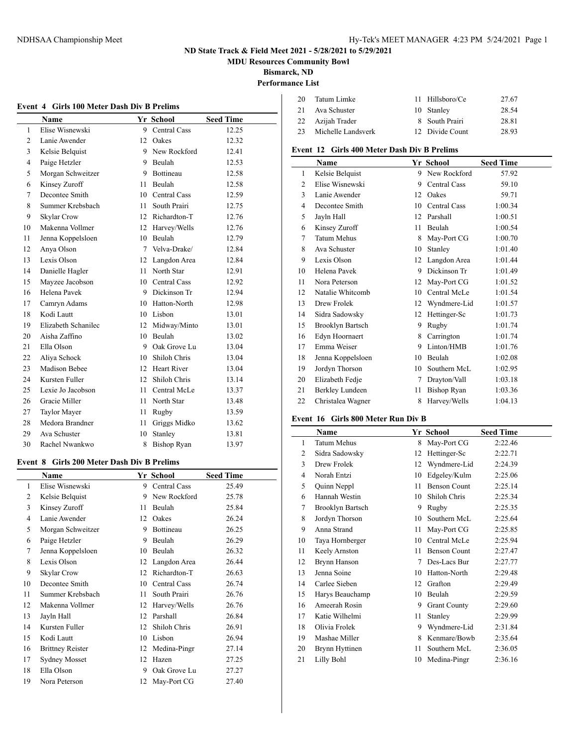**MDU Resources Community Bowl**

**Bismarck, ND**

# **Performance List**

|                | Name                | <b>Yr School</b> |                    | <b>Seed Time</b> |  |
|----------------|---------------------|------------------|--------------------|------------------|--|
| $\mathbf{1}$   | Elise Wisnewski     |                  | 9 Central Cass     | 12.25            |  |
| $\overline{2}$ | Lanie Awender       | 12               | Oakes              | 12.32            |  |
| 3              | Kelsie Belquist     | 9.               | New Rockford       | 12.41            |  |
| $\overline{4}$ | Paige Hetzler       |                  | 9 Beulah           | 12.53            |  |
| 5              | Morgan Schweitzer   |                  | 9 Bottineau        | 12.58            |  |
| 6              | Kinsey Zuroff       | 11               | Beulah             | 12.58            |  |
| 7              | Decontee Smith      |                  | 10 Central Cass    | 12.59            |  |
| 8              | Summer Krebsbach    | 11               | South Prairi       | 12.75            |  |
| 9              | Skylar Crow         | 12 <sup>12</sup> | Richardton-T       | 12.76            |  |
| 10             | Makenna Vollmer     |                  | 12 Harvey/Wells    | 12.76            |  |
| 11             | Jenna Koppelsloen   | 10               | Beulah             | 12.79            |  |
| 12             | Anya Olson          | 7                | Velva-Drake/       | 12.84            |  |
| 13             | Lexis Olson         |                  | 12 Langdon Area    | 12.84            |  |
| 14             | Danielle Hagler     | 11               | North Star         | 12.91            |  |
| 15             | Mayzee Jacobson     |                  | 10 Central Cass    | 12.92            |  |
| 16             | Helena Pavek        |                  | 9 Dickinson Tr     | 12.94            |  |
| 17             | Camryn Adams        |                  | 10 Hatton-North    | 12.98            |  |
| 18             | Kodi Lautt          | 10               | Lisbon             | 13.01            |  |
| 19             | Elizabeth Schanilec | 12 <sup>2</sup>  | Midway/Minto       | 13.01            |  |
| 20             | Aisha Zaffino       |                  | 10 Beulah          | 13.02            |  |
| 21             | Ella Olson          |                  | 9 Oak Grove Lu     | 13.04            |  |
| 22             | Aliya Schock        | 10               | Shiloh Chris       | 13.04            |  |
| 23             | Madison Bebee       |                  | 12 Heart River     | 13.04            |  |
| 24             | Kursten Fuller      | 12               | Shiloh Chris       | 13.14            |  |
| 25             | Lexie Jo Jacobson   | 11               | Central McLe       | 13.37            |  |
| 26             | Gracie Miller       | 11               | North Star         | 13.48            |  |
| 27             | Taylor Mayer        | 11               | Rugby              | 13.59            |  |
| 28             | Medora Brandner     | 11               | Griggs Midko       | 13.62            |  |
| 29             | Ava Schuster        | 10               | Stanley            | 13.81            |  |
| 30             | Rachel Nwankwo      | 8                | <b>Bishop Ryan</b> | 13.97            |  |

#### **Event 8 Girls 200 Meter Dash Div B Prelims**

| Name                    |    |              | <b>Seed Time</b> |
|-------------------------|----|--------------|------------------|
| Elise Wisnewski         | 9  | Central Cass | 25.49            |
| Kelsie Belquist         | 9  | New Rockford | 25.78            |
| Kinsey Zuroff           | 11 | Beulah       | 25.84            |
| Lanie Awender           | 12 | Oakes        | 26.24            |
| Morgan Schweitzer       | 9  | Bottineau    | 26.25            |
| Paige Hetzler           | 9  | Beulah       | 26.29            |
| Jenna Koppelsloen       | 10 | Beulah       | 26.32            |
| Lexis Olson             | 12 | Langdon Area | 26.44            |
| Skylar Crow             | 12 | Richardton-T | 26.63            |
| Decontee Smith          | 10 | Central Cass | 26.74            |
| Summer Krebsbach        | 11 | South Prairi | 26.76            |
| Makenna Vollmer         | 12 | Harvey/Wells | 26.76            |
| Jayln Hall              | 12 | Parshall     | 26.84            |
| Kursten Fuller          | 12 | Shiloh Chris | 26.91            |
| Kodi Lautt              | 10 | Lisbon       | 26.94            |
| <b>Brittney Reister</b> | 12 | Medina-Pingr | 27.14            |
| <b>Sydney Mosset</b>    | 12 | Hazen        | 27.25            |
| Ella Olson              | 9  | Oak Grove Lu | 27.27            |
| Nora Peterson           | 12 | May-Port CG  | 27.40            |
|                         |    |              | Yr School        |

| 20   | Tatum Limke        | 11 Hillsboro/Ce | 27.67 |
|------|--------------------|-----------------|-------|
| -21- | Ava Schuster       | 10 Stanley      | 28.54 |
| 22   | Azijah Trader      | 8 South Prairi  | 28.81 |
| 23   | Michelle Landsverk | 12 Divide Count | 28.93 |

#### **Event 12 Girls 400 Meter Dash Div B Prelims**

|                | <b>Name</b>             |    | Yr School    | <b>Seed Time</b> |
|----------------|-------------------------|----|--------------|------------------|
| 1              | Kelsie Belquist         | 9  | New Rockford | 57.92            |
| $\overline{c}$ | Elise Wisnewski         | 9  | Central Cass | 59.10            |
| 3              | Lanie Awender           | 12 | Oakes        | 59.71            |
| 4              | Decontee Smith          | 10 | Central Cass | 1:00.34          |
| 5              | Jayln Hall              | 12 | Parshall     | 1:00.51          |
| 6              | Kinsey Zuroff           | 11 | Beulah       | 1:00.54          |
| 7              | <b>Tatum Mehus</b>      | 8  | May-Port CG  | 1:00.70          |
| 8              | Ava Schuster            | 10 | Stanley      | 1:01.40          |
| 9              | Lexis Olson             | 12 | Langdon Area | 1:01.44          |
| 10             | Helena Pavek            | 9  | Dickinson Tr | 1:01.49          |
| 11             | Nora Peterson           | 12 | May-Port CG  | 1:01.52          |
| 12             | Natalie Whitcomb        | 10 | Central McLe | 1:01.54          |
| 13             | Drew Frolek             | 12 | Wyndmere-Lid | 1:01.57          |
| 14             | Sidra Sadowsky          | 12 | Hettinger-Sc | 1:01.73          |
| 15             | <b>Brooklyn Bartsch</b> | 9  | Rugby        | 1:01.74          |
| 16             | Edyn Hoornaert          | 8  | Carrington   | 1:01.74          |
| 17             | Emma Weiser             | 9  | Linton/HMB   | 1:01.76          |
| 18             | Jenna Koppelsloen       | 10 | Beulah       | 1:02.08          |
| 19             | Jordyn Thorson          | 10 | Southern McL | 1:02.95          |
| 20             | Elizabeth Fedje         | 7  | Drayton/Vall | 1:03.18          |
| 21             | Berkley Lundeen         | 11 | Bishop Ryan  | 1:03.36          |
| 22             | Christalea Wagner       | 8  | Harvey/Wells | 1:04.13          |

## **Event 16 Girls 800 Meter Run Div B**

|    | Name               |    | Yr School           | <b>Seed Time</b> |
|----|--------------------|----|---------------------|------------------|
| 1  | <b>Tatum Mehus</b> | 8  | May-Port CG         | 2:22.46          |
| 2  | Sidra Sadowsky     | 12 | Hettinger-Sc        | 2:22.71          |
| 3  | Drew Frolek        | 12 | Wyndmere-Lid        | 2:24.39          |
| 4  | Norah Entzi        | 10 | Edgeley/Kulm        | 2:25.06          |
| 5  | Quinn Neppl        | 11 | <b>Benson Count</b> | 2:25.14          |
| 6  | Hannah Westin      | 10 | Shiloh Chris        | 2:25.34          |
| 7  | Brooklyn Bartsch   | 9  | Rugby               | 2:25.35          |
| 8  | Jordyn Thorson     | 10 | Southern McL        | 2:25.64          |
| 9  | Anna Strand        | 11 | May-Port CG         | 2:25.85          |
| 10 | Taya Hornberger    | 10 | Central McLe        | 2:25.94          |
| 11 | Keely Arnston      | 11 | <b>Benson Count</b> | 2:27.47          |
| 12 | Brynn Hanson       | 7  | Des-Lacs Bur        | 2:27.77          |
| 13 | Jenna Soine        | 10 | Hatton-North        | 2:29.48          |
| 14 | Carlee Sieben      | 12 | Grafton             | 2:29.49          |
| 15 | Harys Beauchamp    | 10 | Beulah              | 2:29.59          |
| 16 | Ameerah Rosin      | 9  | <b>Grant County</b> | 2:29.60          |
| 17 | Katie Wilhelmi     | 11 | Stanley             | 2:29.99          |
| 18 | Olivia Frolek      | 9  | Wyndmere-Lid        | 2:31.84          |
| 19 | Mashae Miller      | 8  | Kenmare/Bowb        | 2:35.64          |
| 20 | Brynn Hyttinen     | 11 | Southern McL        | 2:36.05          |
| 21 | Lilly Bohl         | 10 | Medina-Pingr        | 2:36.16          |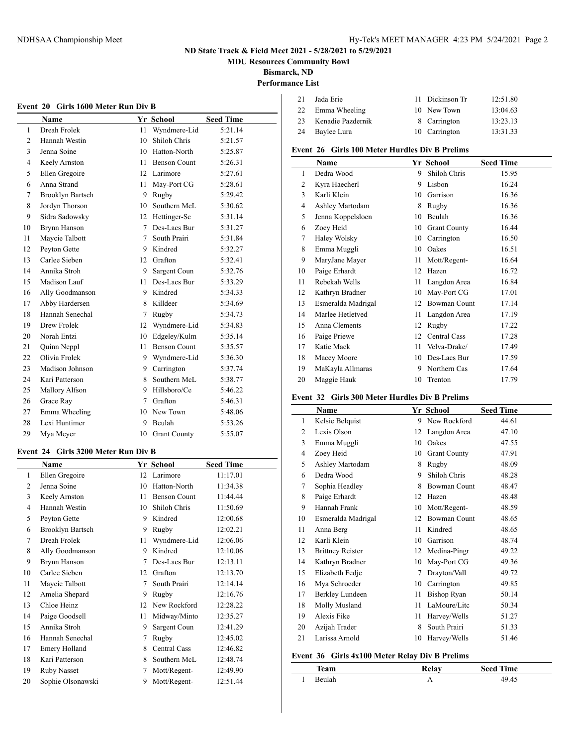**MDU Resources Community Bowl**

**Bismarck, ND**

## **Performance List**

| 21 | Jada Erie         | 11 Dickinson Tr | 12:51.80 |
|----|-------------------|-----------------|----------|
| 22 | Emma Wheeling     | 10 New Town     | 13:04.63 |
| 23 | Kenadie Pazdernik | 8 Carrington    | 13:23.13 |
| 24 | Baylee Lura       | 10 Carrington   | 13:31.33 |
|    |                   |                 |          |

## **Event 26 Girls 100 Meter Hurdles Div B Prelims**

|                | Name               |    | Yr School           | <b>Seed Time</b> |
|----------------|--------------------|----|---------------------|------------------|
| 1              | Dedra Wood         | 9  | Shiloh Chris        | 15.95            |
| $\overline{2}$ | Kyra Haecherl      | 9  | Lisbon              | 16.24            |
| 3              | Karli Klein        | 10 | Garrison            | 16.36            |
| 4              | Ashley Martodam    | 8  | Rugby               | 16.36            |
| 5              | Jenna Koppelsloen  | 10 | Beulah              | 16.36            |
| 6              | Zoey Heid          | 10 | <b>Grant County</b> | 16.44            |
| 7              | Haley Wolsky       | 10 | Carrington          | 16.50            |
| 8              | Emma Muggli        | 10 | Oakes               | 16.51            |
| 9              | MaryJane Mayer     | 11 | Mott/Regent-        | 16.64            |
| 10             | Paige Erhardt      | 12 | Hazen               | 16.72            |
| 11             | Rebekah Wells      | 11 | Langdon Area        | 16.84            |
| 12             | Kathryn Bradner    | 10 | May-Port CG         | 17.01            |
| 13             | Esmeralda Madrigal | 12 | <b>Bowman Count</b> | 17.14            |
| 14             | Marlee Hetletved   | 11 | Langdon Area        | 17.19            |
| 15             | Anna Clements      | 12 | Rugby               | 17.22            |
| 16             | Paige Priewe       | 12 | Central Cass        | 17.28            |
| 17             | Katie Mack         | 11 | Velva-Drake/        | 17.49            |
| 18             | Macey Moore        | 10 | Des-Lacs Bur        | 17.59            |
| 19             | MaKayla Allmaras   | 9  | Northern Cas        | 17.64            |
| 20             | Maggie Hauk        | 10 | Trenton             | 17.79            |

#### **Event 32 Girls 300 Meter Hurdles Div B Prelims**

|                | Name                    |    | Yr School           | <b>Seed Time</b> |
|----------------|-------------------------|----|---------------------|------------------|
| 1              | Kelsie Belquist         | 9  | New Rockford        | 44.61            |
| $\overline{2}$ | Lexis Olson             | 12 | Langdon Area        | 47.10            |
| 3              | Emma Muggli             | 10 | Oakes               | 47.55            |
| 4              | Zoey Heid               | 10 | <b>Grant County</b> | 47.91            |
| 5              | Ashley Martodam         | 8  | Rugby               | 48.09            |
| 6              | Dedra Wood              | 9  | Shiloh Chris        | 48.28            |
| 7              | Sophia Headley          | 8  | Bowman Count        | 48.47            |
| 8              | Paige Erhardt           | 12 | Hazen               | 48.48            |
| 9              | Hannah Frank            | 10 | Mott/Regent-        | 48.59            |
| 10             | Esmeralda Madrigal      | 12 | Bowman Count        | 48.65            |
| 11             | Anna Berg               | 11 | Kindred             | 48.65            |
| 12             | Karli Klein             | 10 | Garrison            | 48.74            |
| 13             | <b>Brittney Reister</b> | 12 | Medina-Pingr        | 49.22            |
| 14             | Kathryn Bradner         | 10 | May-Port CG         | 49.36            |
| 15             | Elizabeth Fedje         | 7  | Drayton/Vall        | 49.72            |
| 16             | Mya Schroeder           | 10 | Carrington          | 49.85            |
| 17             | <b>Berkley Lundeen</b>  | 11 | Bishop Ryan         | 50.14            |
| 18             | Molly Musland           | 11 | LaMoure/Lite        | 50.34            |
| 19             | Alexis Fike             | 11 | Harvey/Wells        | 51.27            |
| 20             | Azijah Trader           | 8  | South Prairi        | 51.33            |
| 21             | Larissa Arnold          | 10 | Harvey/Wells        | 51.46            |

#### **Event 36 Girls 4x100 Meter Relay Div B Prelims**

| eam   | elav | <b>Seed Time</b> |  |
|-------|------|------------------|--|
| وابره |      |                  |  |

## **Event 20 Girls 1600 Meter Run Div B**

|    | Name                    |              | Yr School           | <b>Seed Time</b> |
|----|-------------------------|--------------|---------------------|------------------|
| 1  | Dreah Frolek            | 11           | Wyndmere-Lid        | 5:21.14          |
| 2  | Hannah Westin           | 10           | Shiloh Chris        | 5:21.57          |
| 3  | Jenna Soine             | 10           | Hatton-North        | 5:25.87          |
| 4  | Keely Arnston           | 11           | <b>Benson Count</b> | 5:26.31          |
| 5  | Ellen Gregoire          |              | 12 Larimore         | 5:27.61          |
| 6  | Anna Strand             | 11           | May-Port CG         | 5:28.61          |
| 7  | <b>Brooklyn Bartsch</b> | 9            | Rugby               | 5:29.42          |
| 8  | Jordyn Thorson          | 10           | Southern McL        | 5:30.62          |
| 9  | Sidra Sadowsky          | $12^{\circ}$ | Hettinger-Sc        | 5:31.14          |
| 10 | Brynn Hanson            | 7            | Des-Lacs Bur        | 5:31.27          |
| 11 | Maycie Talbott          | 7            | South Prairi        | 5:31.84          |
| 12 | Peyton Gette            | 9            | Kindred             | 5:32.27          |
| 13 | Carlee Sieben           | 12           | Grafton             | 5:32.41          |
| 14 | Annika Stroh            | 9            | Sargent Coun        | 5:32.76          |
| 15 | Madison Lauf            | 11           | Des-Lacs Bur        | 5:33.29          |
| 16 | Ally Goodmanson         | 9            | Kindred             | 5:34.33          |
| 17 | Abby Hardersen          | 8            | Killdeer            | 5:34.69          |
| 18 | Hannah Senechal         | 7            | Rugby               | 5:34.73          |
| 19 | Drew Frolek             |              | 12 Wyndmere-Lid     | 5:34.83          |
| 20 | Norah Entzi             | 10           | Edgeley/Kulm        | 5:35.14          |
| 21 | Quinn Neppl             | 11           | <b>Benson Count</b> | 5:35.57          |
| 22 | Olivia Frolek           | 9            | Wyndmere-Lid        | 5:36.30          |
| 23 | Madison Johnson         | 9            | Carrington          | 5:37.74          |
| 24 | Kari Patterson          | 8            | Southern McL        | 5:38.77          |
| 25 | Mallory Alfson          | 9            | Hillsboro/Ce        | 5:46.22          |
| 26 | Grace Ray               | 7            | Grafton             | 5:46.31          |
| 27 | Emma Wheeling           | 10           | New Town            | 5:48.06          |
| 28 | Lexi Huntimer           | 9            | Beulah              | 5:53.26          |
| 29 | Mya Meyer               | 10           | <b>Grant County</b> | 5:55.07          |

#### **Event 24 Girls 3200 Meter Run Div B**

|    | Name                    |    | Yr School           | <b>Seed Time</b> |
|----|-------------------------|----|---------------------|------------------|
| 1  | Ellen Gregoire          | 12 | Larimore            | 11:17.01         |
| 2  | Jenna Soine             | 10 | Hatton-North        | 11:34.38         |
| 3  | Keely Arnston           | 11 | <b>Benson Count</b> | 11:44.44         |
| 4  | Hannah Westin           | 10 | Shiloh Chris        | 11:50.69         |
| 5  | Peyton Gette            | 9  | Kindred             | 12:00.68         |
| 6  | <b>Brooklyn Bartsch</b> | 9  | Rugby               | 12:02.21         |
| 7  | Dreah Frolek            | 11 | Wyndmere-Lid        | 12:06.06         |
| 8  | Ally Goodmanson         | 9  | Kindred             | 12:10.06         |
| 9  | Brynn Hanson            | 7  | Des-Lacs Bur        | 12:13.11         |
| 10 | Carlee Sieben           | 12 | Grafton             | 12:13.70         |
| 11 | Maycie Talbott          | 7  | South Prairi        | 12:14.14         |
| 12 | Amelia Shepard          | 9  | Rugby               | 12:16.76         |
| 13 | Chloe Heinz             | 12 | New Rockford        | 12:28.22         |
| 14 | Paige Goodsell          | 11 | Midway/Minto        | 12:35.27         |
| 15 | Annika Stroh            | 9  | Sargent Coun        | 12:41.29         |
| 16 | Hannah Senechal         | 7  | Rugby               | 12:45.02         |
| 17 | Emery Holland           | 8  | Central Cass        | 12:46.82         |
| 18 | Kari Patterson          | 8  | Southern McL        | 12:48.74         |
| 19 | <b>Ruby Nasset</b>      | 7  | Mott/Regent-        | 12:49.90         |
| 20 | Sophie Olsonawski       | 9  | Mott/Regent-        | 12:51.44         |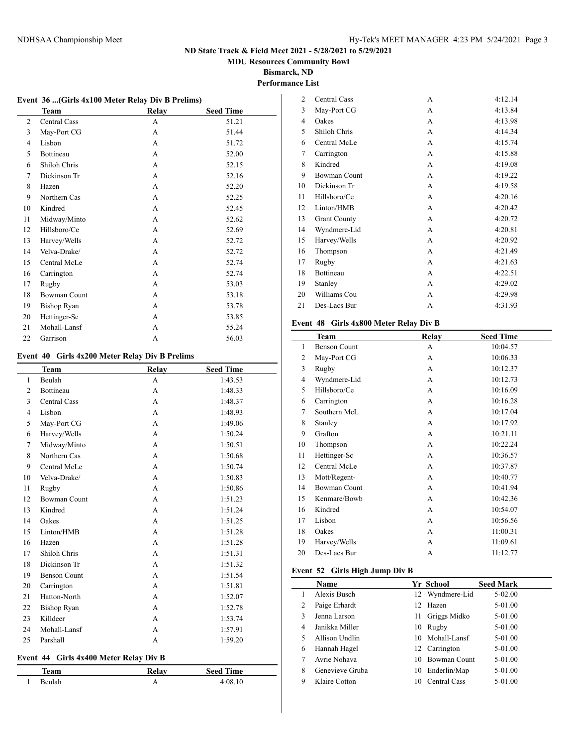**MDU Resources Community Bowl**

**Bismarck, ND Performance List**

## **Event 36 ...(Girls 4x100 Meter Relay Div B Prelims)**

|    | <b>Team</b>        | Relay | <b>Seed Time</b> |  |
|----|--------------------|-------|------------------|--|
| 2  | Central Cass       | A     | 51.21            |  |
| 3  | May-Port CG        | A     | 51.44            |  |
| 4  | Lisbon             | A     | 51.72            |  |
| 5  | Bottineau          | A     | 52.00            |  |
| 6  | Shiloh Chris       | A     | 52.15            |  |
| 7  | Dickinson Tr       | A     | 52.16            |  |
| 8  | Hazen              | A     | 52.20            |  |
| 9  | Northern Cas       | A     | 52.25            |  |
| 10 | Kindred            | A     | 52.45            |  |
| 11 | Midway/Minto       | A     | 52.62            |  |
| 12 | Hillsboro/Ce       | A     | 52.69            |  |
| 13 | Harvey/Wells       | A     | 52.72            |  |
| 14 | Velva-Drake/       | A     | 52.72            |  |
| 15 | Central McLe       | A     | 52.74            |  |
| 16 | Carrington         | А     | 52.74            |  |
| 17 | Rugby              | A     | 53.03            |  |
| 18 | Bowman Count       | A     | 53.18            |  |
| 19 | <b>Bishop Ryan</b> | A     | 53.78            |  |
| 20 | Hettinger-Sc       | A     | 53.85            |  |
| 21 | Mohall-Lansf       | А     | 55.24            |  |
| 22 | Garrison           | A     | 56.03            |  |

#### **Event 40 Girls 4x200 Meter Relay Div B Prelims**

|    | <b>Team</b>         | Relay        | <b>Seed Time</b> |
|----|---------------------|--------------|------------------|
| 1  | Beulah              | A            | 1:43.53          |
| 2  | Bottineau           | A            | 1:48.33          |
| 3  | <b>Central Cass</b> | A            | 1:48.37          |
| 4  | Lisbon              | A            | 1:48.93          |
| 5  | May-Port CG         | A            | 1:49.06          |
| 6  | Harvey/Wells        | A            | 1:50.24          |
| 7  | Midway/Minto        | A            | 1:50.51          |
| 8  | Northern Cas        | A            | 1:50.68          |
| 9  | Central McLe        | A            | 1:50.74          |
| 10 | Velva-Drake/        | A            | 1:50.83          |
| 11 | Rugby               | A            | 1:50.86          |
| 12 | <b>Bowman Count</b> | A            | 1:51.23          |
| 13 | Kindred             | A            | 1:51.24          |
| 14 | Oakes               | A            | 1:51.25          |
| 15 | Linton/HMB          | A            | 1:51.28          |
| 16 | Hazen               | A            | 1:51.28          |
| 17 | Shiloh Chris        | A            | 1:51.31          |
| 18 | Dickinson Tr        | A            | 1:51.32          |
| 19 | <b>Benson Count</b> | A            | 1:51.54          |
| 20 | Carrington          | $\mathsf{A}$ | 1:51.81          |
| 21 | Hatton-North        | A            | 1:52.07          |
| 22 | <b>Bishop Ryan</b>  | A            | 1:52.78          |
| 23 | Killdeer            | A            | 1:53.74          |
| 24 | Mohall-Lansf        | A            | 1:57.91          |
| 25 | Parshall            | A            | 1:59.20          |

## **Event 44 Girls 4x400 Meter Relay Div B**

| <b>AAM</b> | تعملها | <b>Seed Time</b> |
|------------|--------|------------------|
|            |        |                  |

| $\overline{2}$ | Central Cass        | A | 4:12.14 |
|----------------|---------------------|---|---------|
| 3              | May-Port CG         | A | 4:13.84 |
| 4              | Oakes               | A | 4:13.98 |
| 5              | Shiloh Chris        | A | 4:14.34 |
| 6              | Central McLe        | A | 4:15.74 |
| 7              | Carrington          | A | 4:15.88 |
| 8              | Kindred             | A | 4:19.08 |
| 9              | <b>Bowman Count</b> | A | 4:19.22 |
| 10             | Dickinson Tr        | A | 4:19.58 |
| 11             | Hillsboro/Ce        | A | 4:20.16 |
| 12             | Linton/HMB          | A | 4:20.42 |
| 13             | <b>Grant County</b> | A | 4:20.72 |
| 14             | Wyndmere-Lid        | A | 4:20.81 |
| 15             | Harvey/Wells        | A | 4:20.92 |
| 16             | Thompson            | A | 4:21.49 |
| 17             | Rugby               | A | 4:21.63 |
| 18             | Bottineau           | A | 4:22.51 |
| 19             | Stanley             | A | 4:29.02 |
| 20             | Williams Cou        | A | 4:29.98 |
| 21             | Des-Lacs Bur        | A | 4:31.93 |
|                |                     |   |         |

#### **Event 48 Girls 4x800 Meter Relay Div B**

|    | Team                | Relay | <b>Seed Time</b> |
|----|---------------------|-------|------------------|
| 1  | <b>Benson Count</b> | А     | 10:04.57         |
| 2  | May-Port CG         | A     | 10:06.33         |
| 3  | Rugby               | A     | 10:12.37         |
| 4  | Wyndmere-Lid        | A     | 10:12.73         |
| 5  | Hillsboro/Ce        | A     | 10:16.09         |
| 6  | Carrington          | A     | 10:16.28         |
| 7  | Southern McL        | A     | 10:17.04         |
| 8  | Stanley             | A     | 10:17.92         |
| 9  | Grafton             | A     | 10:21.11         |
| 10 | Thompson            | A     | 10:22.24         |
| 11 | Hettinger-Sc        | A     | 10:36.57         |
| 12 | Central McLe        | A     | 10:37.87         |
| 13 | Mott/Regent-        | A     | 10:40.77         |
| 14 | <b>Bowman Count</b> | A     | 10:41.94         |
| 15 | Kenmare/Bowb        | A     | 10:42.36         |
| 16 | Kindred             | A     | 10:54.07         |
| 17 | Lisbon              | A     | 10:56.56         |
| 18 | Oakes               | A     | 11:00.31         |
| 19 | Harvey/Wells        | A     | 11:09.61         |
| 20 | Des-Lacs Bur        | А     | 11:12.77         |

## **Event 52 Girls High Jump Div B**

|   | Name            |     | Yr School           | <b>Seed Mark</b> |
|---|-----------------|-----|---------------------|------------------|
|   | Alexis Busch    |     | 12 Wyndmere-Lid     | 5-02.00          |
| 2 | Paige Erhardt   | 12. | Hazen               | 5-01.00          |
| 3 | Jenna Larson    | 11  | Griggs Midko        | 5-01.00          |
| 4 | Janikka Miller  | 10  | Rugby               | 5-01.00          |
| 5 | Allison Undlin  | 10  | Mohall-Lansf        | 5-01.00          |
| 6 | Hannah Hagel    |     | 12 Carrington       | 5-01.00          |
| 7 | Avrie Nohava    | 10  | <b>Bowman Count</b> | 5-01.00          |
| 8 | Genevieve Gruba | 10  | Enderlin/Map        | 5-01.00          |
| 9 | Klaire Cotton   | 10  | Central Cass        | $5-01.00$        |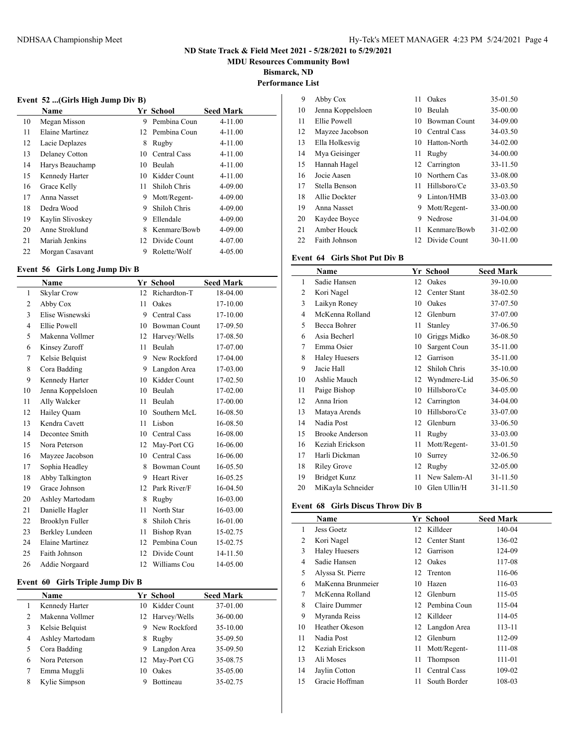**MDU Resources Community Bowl**

**Bismarck, ND**

**Performance List**

## **Event 52 ...(Girls High Jump Div B)**

|    | Name             |    | Yr School       | <b>Seed Mark</b> |
|----|------------------|----|-----------------|------------------|
| 10 | Megan Misson     | 9  | Pembina Coun    | $4 - 11.00$      |
| 11 | Elaine Martinez  |    | 12 Pembina Coun | $4 - 11.00$      |
| 12 | Lacie Deplazes   | 8  | Rugby           | $4 - 11.00$      |
| 13 | Delaney Cotton   | 10 | Central Cass    | $4 - 11.00$      |
| 14 | Harys Beauchamp  | 10 | Beulah          | $4 - 11.00$      |
| 15 | Kennedy Harter   | 10 | Kidder Count    | $4 - 11.00$      |
| 16 | Grace Kelly      | 11 | Shiloh Chris    | $4 - 09.00$      |
| 17 | Anna Nasset      | 9  | Mott/Regent-    | $4 - 09.00$      |
| 18 | Dedra Wood       | 9  | Shiloh Chris    | $4 - 09.00$      |
| 19 | Kaylin Slivoskey | 9  | Ellendale       | $4 - 09.00$      |
| 20 | Anne Stroklund   | 8  | Kenmare/Bowb    | $4 - 09.00$      |
| 21 | Mariah Jenkins   | 12 | Divide Count    | 4-07.00          |
| 22 | Morgan Casavant  | 9  | Rolette/Wolf    | $4 - 05.00$      |

## **Event 56 Girls Long Jump Div B**

|              | Name                   |    | <b>Yr School</b>    | <b>Seed Mark</b> |
|--------------|------------------------|----|---------------------|------------------|
| $\mathbf{1}$ | Skylar Crow            | 12 | Richardton-T        | 18-04.00         |
| 2            | Abby Cox               | 11 | Oakes               | 17-10.00         |
| 3            | Elise Wisnewski        | 9  | Central Cass        | 17-10.00         |
| 4            | Ellie Powell           | 10 | <b>Bowman Count</b> | 17-09.50         |
| 5            | Makenna Vollmer        | 12 | Harvey/Wells        | 17-08.50         |
| 6            | Kinsey Zuroff          | 11 | Beulah              | 17-07.00         |
| 7            | Kelsie Belquist        | 9  | New Rockford        | 17-04.00         |
| 8            | Cora Badding           | 9  | Langdon Area        | 17-03.00         |
| 9            | Kennedy Harter         | 10 | Kidder Count        | 17-02.50         |
| 10           | Jenna Koppelsloen      | 10 | Beulah              | 17-02.00         |
| 11           | Ally Walcker           | 11 | Beulah              | 17-00.00         |
| 12           | Hailey Quam            | 10 | Southern McL        | 16-08.50         |
| 13           | Kendra Cavett          | 11 | Lisbon              | 16-08.50         |
| 14           | Decontee Smith         | 10 | <b>Central Cass</b> | 16-08.00         |
| 15           | Nora Peterson          | 12 | May-Port CG         | 16-06.00         |
| 16           | Mayzee Jacobson        | 10 | Central Cass        | 16-06.00         |
| 17           | Sophia Headley         | 8  | <b>Bowman Count</b> | 16-05.50         |
| 18           | Abby Talkington        | 9  | <b>Heart River</b>  | 16-05.25         |
| 19           | Grace Johnson          | 12 | Park River/F        | 16-04.50         |
| 20           | Ashley Martodam        | 8  | Rugby               | 16-03.00         |
| 21           | Danielle Hagler        | 11 | North Star          | 16-03.00         |
| 22           | Brooklyn Fuller        | 8  | Shiloh Chris        | 16-01.00         |
| 23           | Berkley Lundeen        | 11 | <b>Bishop Ryan</b>  | 15-02.75         |
| 24           | <b>Elaine Martinez</b> | 12 | Pembina Coun        | 15-02.75         |
| 25           | Faith Johnson          | 12 | Divide Count        | 14-11.50         |
| 26           | Addie Norgaard         | 12 | Williams Cou        | 14-05.00         |

#### **Event 60 Girls Triple Jump Div B**

|   | <b>Name</b>     |    | Yr School        | <b>Seed Mark</b> |
|---|-----------------|----|------------------|------------------|
|   | Kennedy Harter  |    | 10 Kidder Count  | 37-01.00         |
| 2 | Makenna Vollmer |    | 12 Harvey/Wells  | 36-00.00         |
| 3 | Kelsie Belquist | 9  | New Rockford     | 35-10.00         |
| 4 | Ashley Martodam | 8  | Rugby            | 35-09.50         |
| 5 | Cora Badding    | 9  | Langdon Area     | 35-09.50         |
| 6 | Nora Peterson   |    | 12 May-Port CG   | 35-08.75         |
|   | Emma Muggli     | 10 | Oakes            | 35-05.00         |
| 8 | Kylie Simpson   | 9  | <b>Bottineau</b> | 35-02.75         |

| 9  | Abby Cox          | 11 | Oakes         | 35-01.50 |
|----|-------------------|----|---------------|----------|
| 10 | Jenna Koppelsloen | 10 | <b>Beulah</b> | 35-00.00 |
| 11 | Ellie Powell      | 10 | Bowman Count  | 34-09.00 |
| 12 | Mayzee Jacobson   | 10 | Central Cass  | 34-03.50 |
| 13 | Ella Holkesvig    | 10 | Hatton-North  | 34-02.00 |
| 14 | Mya Geisinger     | 11 | Rugby         | 34-00.00 |
| 15 | Hannah Hagel      | 12 | Carrington    | 33-11.50 |
| 16 | Jocie Aasen       | 10 | Northern Cas  | 33-08.00 |
| 17 | Stella Benson     | 11 | Hillsboro/Ce  | 33-03.50 |
| 18 | Allie Dockter     | 9  | Linton/HMB    | 33-03.00 |
| 19 | Anna Nasset       | 9  | Mott/Regent-  | 33-00.00 |
| 20 | Kaydee Boyce      | 9  | Nedrose       | 31-04.00 |
| 21 | Amber Houck       | 11 | Kenmare/Bowb  | 31-02.00 |
| 22 | Faith Johnson     | 12 | Divide Count  | 30-11.00 |

#### **Event 64 Girls Shot Put Div B**

|    | Name                   |    | Yr School    | <b>Seed Mark</b> |
|----|------------------------|----|--------------|------------------|
| 1  | Sadie Hansen           | 12 | Oakes        | 39-10.00         |
| 2  | Kori Nagel             | 12 | Center Stant | 38-02.50         |
| 3  | Laikyn Roney           | 10 | Oakes        | 37-07.50         |
| 4  | McKenna Rolland        | 12 | Glenburn     | 37-07.00         |
| 5  | Becca Bohrer           | 11 | Stanley      | 37-06.50         |
| 6  | Asia Becherl           | 10 | Griggs Midko | 36-08.50         |
| 7  | Emma Osier             | 10 | Sargent Coun | 35-11.00         |
| 8  | <b>Haley Huesers</b>   | 12 | Garrison     | 35-11.00         |
| 9  | Jacie Hall             | 12 | Shiloh Chris | 35-10.00         |
| 10 | Ashlie Mauch           | 12 | Wyndmere-Lid | 35-06.50         |
| 11 | Paige Bishop           | 10 | Hillsboro/Ce | 34-05.00         |
| 12 | Anna Irion             | 12 | Carrington   | 34-04.00         |
| 13 | Mataya Arends          | 10 | Hillsboro/Ce | 33-07.00         |
| 14 | Nadia Post             | 12 | Glenburn     | 33-06.50         |
| 15 | <b>Brooke Anderson</b> | 11 | Rugby        | 33-03.00         |
| 16 | Keziah Erickson        | 11 | Mott/Regent- | 33-01.50         |
| 17 | Harli Dickman          | 10 | Surrey       | 32-06.50         |
| 18 | Riley Grove            | 12 | Rugby        | 32-05.00         |
| 19 | Bridget Kunz           | 11 | New Salem-Al | 31-11.50         |
| 20 | MiKayla Schneider      | 10 | Glen Ullin/H | 31-11.50         |

#### **Event 68 Girls Discus Throw Div B**

|    | Name                 |    | Yr School       | <b>Seed Mark</b> |  |
|----|----------------------|----|-----------------|------------------|--|
| 1  | Jess Goetz           |    | 12 Killdeer     | 140-04           |  |
| 2  | Kori Nagel           | 12 | Center Stant    | 136-02           |  |
| 3  | <b>Haley Huesers</b> | 12 | Garrison        | 124-09           |  |
| 4  | Sadie Hansen         | 12 | Oakes           | 117-08           |  |
| 5  | Alyssa St. Pierre    | 12 | Trenton         | 116-06           |  |
| 6  | MaKenna Brunmeier    | 10 | Hazen           | 116-03           |  |
| 7  | McKenna Rolland      | 12 | Glenburn        | 115-05           |  |
| 8  | Claire Dummer        | 12 | Pembina Coun    | 115-04           |  |
| 9  | Myranda Reiss        | 12 | Killdeer        | 114-05           |  |
| 10 | Heather Okeson       |    | 12 Langdon Area | 113-11           |  |
| 11 | Nadia Post           | 12 | Glenburn        | 112-09           |  |
| 12 | Keziah Erickson      | 11 | Mott/Regent-    | 111-08           |  |
| 13 | Ali Moses            | 11 | Thompson        | 111-01           |  |
| 14 | Jaylin Cotton        | 11 | Central Cass    | 109-02           |  |
| 15 | Gracie Hoffman       | 11 | South Border    | 108-03           |  |